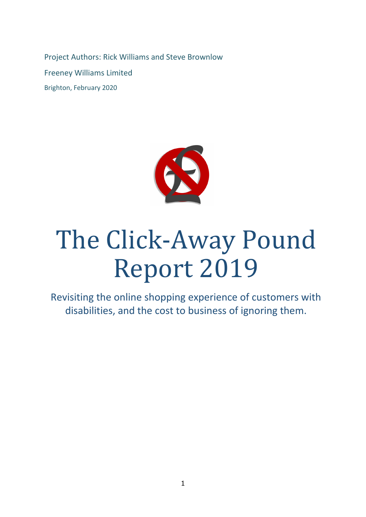Project Authors: Rick Williams and Steve Brownlow Freeney Williams Limited Brighton, February 2020



# The Click-Away Pound Report 2019

Revisiting the online shopping experience of customers with disabilities, and the cost to business of ignoring them.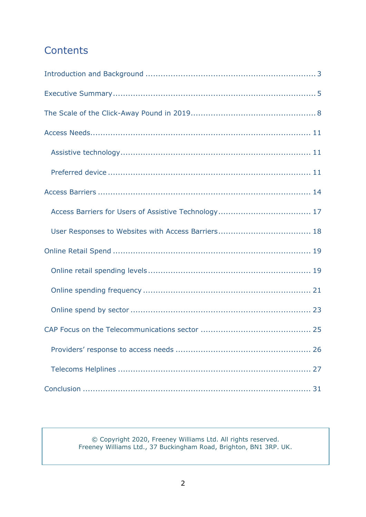# **Contents**

© Copyright 2020, Freeney Williams Ltd. All rights reserved. Freeney Williams Ltd., 37 Buckingham Road, Brighton, BN1 3RP. UK.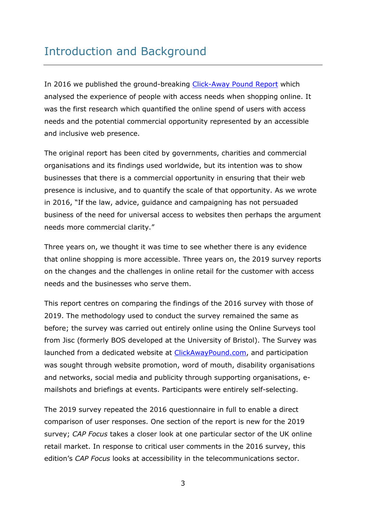# <span id="page-2-0"></span>Introduction and Background

In 2016 we published the ground-breaking [Click-Away Pound Report](http://www.clickawaypound.com/) which analysed the experience of people with access needs when shopping online. It was the first research which quantified the online spend of users with access needs and the potential commercial opportunity represented by an accessible and inclusive web presence.

The original report has been cited by governments, charities and commercial organisations and its findings used worldwide, but its intention was to show businesses that there is a commercial opportunity in ensuring that their web presence is inclusive, and to quantify the scale of that opportunity. As we wrote in 2016, "If the law, advice, guidance and campaigning has not persuaded business of the need for universal access to websites then perhaps the argument needs more commercial clarity."

Three years on, we thought it was time to see whether there is any evidence that online shopping is more accessible. Three years on, the 2019 survey reports on the changes and the challenges in online retail for the customer with access needs and the businesses who serve them.

This report centres on comparing the findings of the 2016 survey with those of 2019. The methodology used to conduct the survey remained the same as before; the survey was carried out entirely online using the Online Surveys tool from Jisc (formerly BOS developed at the University of Bristol). The Survey was launched from a dedicated website at [ClickAwayPound.com,](http://clickawaypound.com/) and participation was sought through website promotion, word of mouth, disability organisations and networks, social media and publicity through supporting organisations, emailshots and briefings at events. Participants were entirely self-selecting.

The 2019 survey repeated the 2016 questionnaire in full to enable a direct comparison of user responses. One section of the report is new for the 2019 survey; *CAP Focus* takes a closer look at one particular sector of the UK online retail market. In response to critical user comments in the 2016 survey, this edition's *CAP Focus* looks at accessibility in the telecommunications sector.

3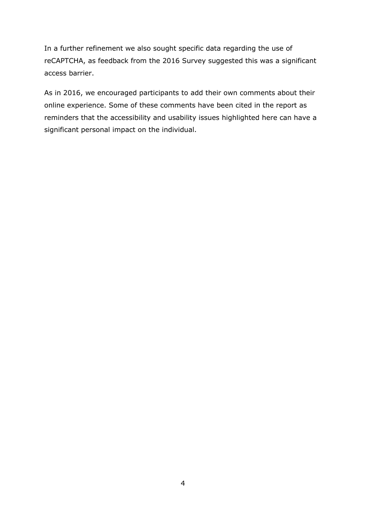In a further refinement we also sought specific data regarding the use of reCAPTCHA, as feedback from the 2016 Survey suggested this was a significant access barrier.

As in 2016, we encouraged participants to add their own comments about their online experience. Some of these comments have been cited in the report as reminders that the accessibility and usability issues highlighted here can have a significant personal impact on the individual.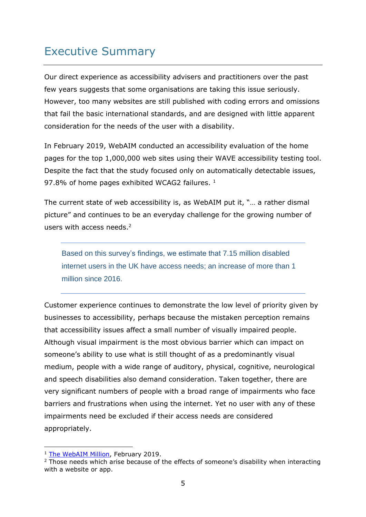# <span id="page-4-0"></span>Executive Summary

Our direct experience as accessibility advisers and practitioners over the past few years suggests that some organisations are taking this issue seriously. However, too many websites are still published with coding errors and omissions that fail the basic international standards, and are designed with little apparent consideration for the needs of the user with a disability.

In February 2019, WebAIM conducted an accessibility evaluation of the home pages for the top 1,000,000 web sites using their WAVE accessibility testing tool. Despite the fact that the study focused only on automatically detectable issues, 97.8% of home pages exhibited WCAG2 failures.<sup>1</sup>

The current state of web accessibility is, as WebAIM put it, "… a rather dismal picture" and continues to be an everyday challenge for the growing number of users with access needs.<sup>2</sup>

Based on this survey's findings, we estimate that 7.15 million disabled internet users in the UK have access needs; an increase of more than 1 million since 2016.

Customer experience continues to demonstrate the low level of priority given by businesses to accessibility, perhaps because the mistaken perception remains that accessibility issues affect a small number of visually impaired people. Although visual impairment is the most obvious barrier which can impact on someone's ability to use what is still thought of as a predominantly visual medium, people with a wide range of auditory, physical, cognitive, neurological and speech disabilities also demand consideration. Taken together, there are very significant numbers of people with a broad range of impairments who face barriers and frustrations when using the internet. Yet no user with any of these impairments need be excluded if their access needs are considered appropriately.

<sup>&</sup>lt;sup>1</sup> [The WebAIM Million,](https://webaim.org/projects/million/) February 2019.

<sup>&</sup>lt;sup>2</sup> Those needs which arise because of the effects of someone's disability when interacting with a website or app.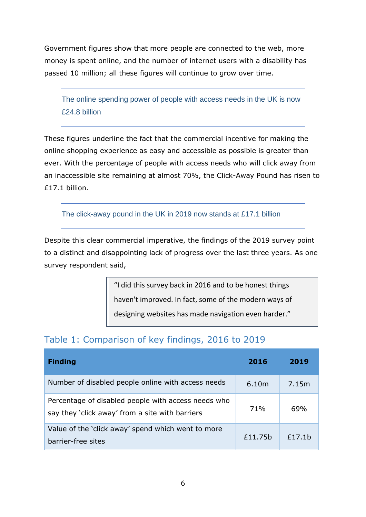Government figures show that more people are connected to the web, more money is spent online, and the number of internet users with a disability has passed 10 million; all these figures will continue to grow over time.

The online spending power of people with access needs in the UK is now £24.8 billion

These figures underline the fact that the commercial incentive for making the online shopping experience as easy and accessible as possible is greater than ever. With the percentage of people with access needs who will click away from an inaccessible site remaining at almost 70%, the Click-Away Pound has risen to £17.1 billion.

The click-away pound in the UK in 2019 now stands at £17.1 billion

Despite this clear commercial imperative, the findings of the 2019 survey point to a distinct and disappointing lack of progress over the last three years. As one survey respondent said,

"I did this survey back in 2016 and to be honest things

haven't improved. In fact, some of the modern ways of

designing websites has made navigation even harder."

# Table 1: Comparison of key findings, 2016 to 2019

| <b>Finding</b>                                                                                         | 2016    | 2019   |
|--------------------------------------------------------------------------------------------------------|---------|--------|
| Number of disabled people online with access needs                                                     | 6.10m   | 7.15m  |
| Percentage of disabled people with access needs who<br>say they 'click away' from a site with barriers | 71%     | 69%    |
| Value of the 'click away' spend which went to more<br>barrier-free sites                               | £11.75b | £17.1b |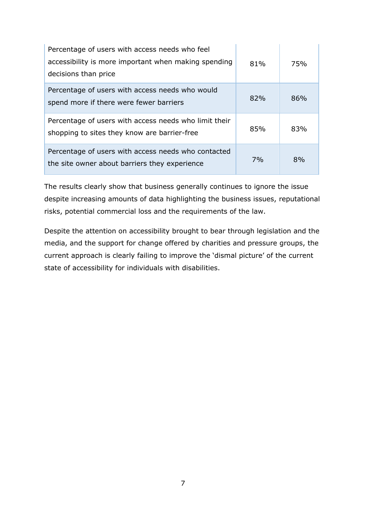| Percentage of users with access needs who feel<br>accessibility is more important when making spending<br>decisions than price | 81% | 75% |
|--------------------------------------------------------------------------------------------------------------------------------|-----|-----|
| Percentage of users with access needs who would<br>spend more if there were fewer barriers                                     | 82% | 86% |
| Percentage of users with access needs who limit their<br>shopping to sites they know are barrier-free                          | 85% | 83% |
| Percentage of users with access needs who contacted<br>the site owner about barriers they experience                           | 7%  | 8%  |

The results clearly show that business generally continues to ignore the issue despite increasing amounts of data highlighting the business issues, reputational risks, potential commercial loss and the requirements of the law.

Despite the attention on accessibility brought to bear through legislation and the media, and the support for change offered by charities and pressure groups, the current approach is clearly failing to improve the 'dismal picture' of the current state of accessibility for individuals with disabilities.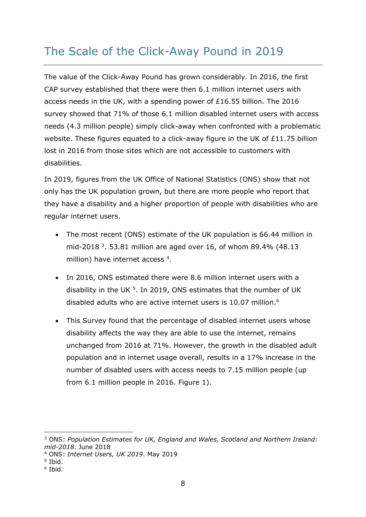# <span id="page-7-0"></span>The Scale of the Click-Away Pound in 2019

The value of the Click-Away Pound has grown considerably. In 2016, the first CAP survey established that there were then 6.1 million internet users with access needs in the UK, with a spending power of £16.55 billion. The 2016 survey showed that 71% of those 6.1 million disabled internet users with access needs (4.3 million people) simply click-away when confronted with a problematic website. These figures equated to a click-away figure in the UK of £11.75 billion lost in 2016 from those sites which are not accessible to customers with disabilities.

In 2019, figures from the UK Office of National Statistics (ONS) show that not only has the UK population grown, but there are more people who report that they have a disability and a higher proportion of people with disabilities who are regular internet users.

- The most recent (ONS) estimate of the UK population is 66.44 million in mid-2018<sup>3</sup>. 53.81 million are aged over 16, of whom 89.4% (48.13 million) have internet access<sup>4</sup>.
- In 2016, ONS estimated there were 8.6 million internet users with a disability in the UK  $5$ . In 2019, ONS estimates that the number of UK disabled adults who are active internet users is 10.07 million.<sup>6</sup>
- This Survey found that the percentage of disabled internet users whose disability affects the way they are able to use the internet, remains unchanged from 2016 at 71%. However, the growth in the disabled adult population and in internet usage overall, results in a 17% increase in the number of disabled users with access needs to 7.15 million people (up from 6.1 million people in 2016. Figure 1).

<sup>3</sup> ONS: *Population Estimates for UK, England and Wales, Scotland and Northern Ireland: mid-2018*. June 2018

<sup>4</sup> ONS: *Internet Users, UK 2019*. May 2019

<sup>5</sup> Ibid.

<sup>6</sup> Ibid.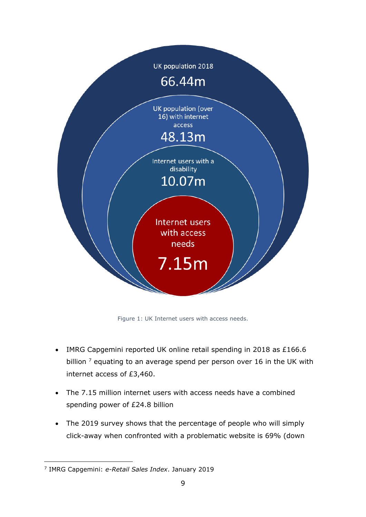

Figure 1: UK Internet users with access needs.

- IMRG Capgemini reported UK online retail spending in 2018 as £166.6 billion  $<sup>7</sup>$  equating to an average spend per person over 16 in the UK with</sup> internet access of £3,460.
- The 7.15 million internet users with access needs have a combined spending power of £24.8 billion
- The 2019 survey shows that the percentage of people who will simply click-away when confronted with a problematic website is 69% (down

<sup>7</sup> IMRG Capgemini: *e-Retail Sales Index*. January 2019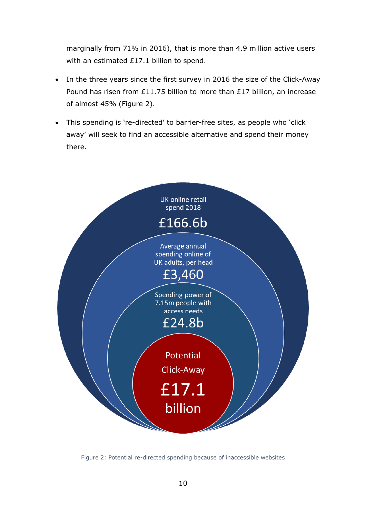marginally from 71% in 2016), that is more than 4.9 million active users with an estimated £17.1 billion to spend.

- In the three years since the first survey in 2016 the size of the Click-Away Pound has risen from £11.75 billion to more than £17 billion, an increase of almost 45% (Figure 2).
- This spending is 're-directed' to barrier-free sites, as people who 'click away' will seek to find an accessible alternative and spend their money there.



Figure 2: Potential re-directed spending because of inaccessible websites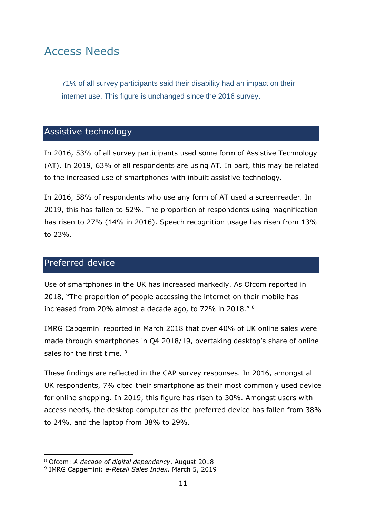<span id="page-10-0"></span>71% of all survey participants said their disability had an impact on their internet use. This figure is unchanged since the 2016 survey.

#### <span id="page-10-1"></span>Assistive technology

In 2016, 53% of all survey participants used some form of Assistive Technology (AT). In 2019, 63% of all respondents are using AT. In part, this may be related to the increased use of smartphones with inbuilt assistive technology.

In 2016, 58% of respondents who use any form of AT used a screenreader. In 2019, this has fallen to 52%. The proportion of respondents using magnification has risen to 27% (14% in 2016). Speech recognition usage has risen from 13% to 23%.

#### <span id="page-10-2"></span>Preferred device

Use of smartphones in the UK has increased markedly. As Ofcom reported in 2018, "The proportion of people accessing the internet on their mobile has increased from 20% almost a decade ago, to 72% in 2018." <sup>8</sup>

IMRG Capgemini reported in March 2018 that over 40% of UK online sales were made through smartphones in Q4 2018/19, overtaking desktop's share of online sales for the first time. <sup>9</sup>

These findings are reflected in the CAP survey responses. In 2016, amongst all UK respondents, 7% cited their smartphone as their most commonly used device for online shopping. In 2019, this figure has risen to 30%. Amongst users with access needs, the desktop computer as the preferred device has fallen from 38% to 24%, and the laptop from 38% to 29%.

<sup>8</sup> Ofcom: *A decade of digital dependency*. August 2018

<sup>9</sup> IMRG Capgemini: *e-Retail Sales Index*. March 5, 2019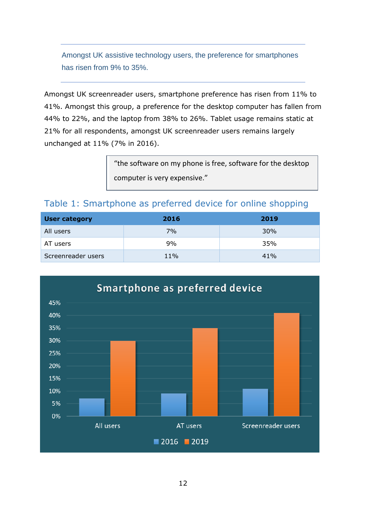Amongst UK assistive technology users, the preference for smartphones has risen from 9% to 35%.

Amongst UK screenreader users, smartphone preference has risen from 11% to 41%. Amongst this group, a preference for the desktop computer has fallen from 44% to 22%, and the laptop from 38% to 26%. Tablet usage remains static at 21% for all respondents, amongst UK screenreader users remains largely unchanged at 11% (7% in 2016).

> "the software on my phone is free, software for the desktop computer is very expensive."

### Table 1: Smartphone as preferred device for online shopping

| <b>User category</b> | 2016 | 2019 |
|----------------------|------|------|
| All users            | 7%   | 30%  |
| AT users             | 9%   | 35%  |
| Screenreader users   | 11%  | 41%  |

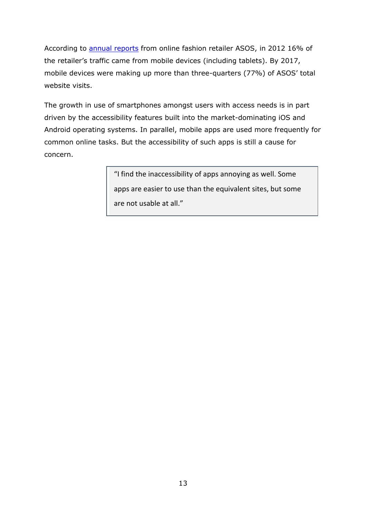According to **[annual reports](http://www.annualreports.co.uk/Company/asos-plc)** from online fashion retailer ASOS, in 2012 16% of the retailer's traffic came from mobile devices (including tablets). By 2017, mobile devices were making up more than three-quarters (77%) of ASOS' total website visits.

The growth in use of smartphones amongst users with access needs is in part driven by the accessibility features built into the market-dominating iOS and Android operating systems. In parallel, mobile apps are used more frequently for common online tasks. But the accessibility of such apps is still a cause for concern.

> <span id="page-12-0"></span>"I find the inaccessibility of apps annoying as well. Some apps are easier to use than the equivalent sites, but some are not usable at all."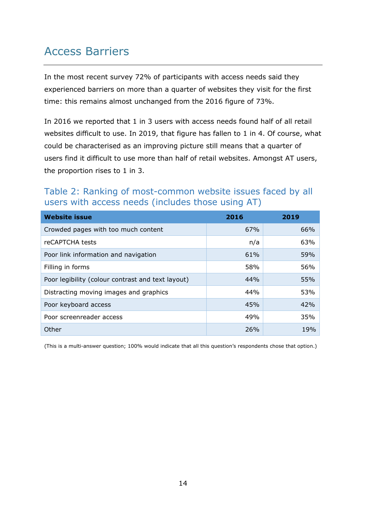# Access Barriers

In the most recent survey 72% of participants with access needs said they experienced barriers on more than a quarter of websites they visit for the first time: this remains almost unchanged from the 2016 figure of 73%.

In 2016 we reported that 1 in 3 users with access needs found half of all retail websites difficult to use. In 2019, that figure has fallen to 1 in 4. Of course, what could be characterised as an improving picture still means that a quarter of users find it difficult to use more than half of retail websites. Amongst AT users, the proportion rises to 1 in 3.

## Table 2: Ranking of most-common website issues faced by all users with access needs (includes those using AT)

| <b>Website issue</b>                              | 2016 | 2019 |
|---------------------------------------------------|------|------|
| Crowded pages with too much content               | 67%  | 66%  |
| reCAPTCHA tests                                   | n/a  | 63%  |
| Poor link information and navigation              | 61%  | 59%  |
| Filling in forms                                  | 58%  | 56%  |
| Poor legibility (colour contrast and text layout) | 44%  | 55%  |
| Distracting moving images and graphics            | 44%  | 53%  |
| Poor keyboard access                              | 45%  | 42%  |
| Poor screenreader access                          | 49%  | 35%  |
| Other                                             | 26%  | 19%  |

(This is a multi-answer question; 100% would indicate that all this question's respondents chose that option.)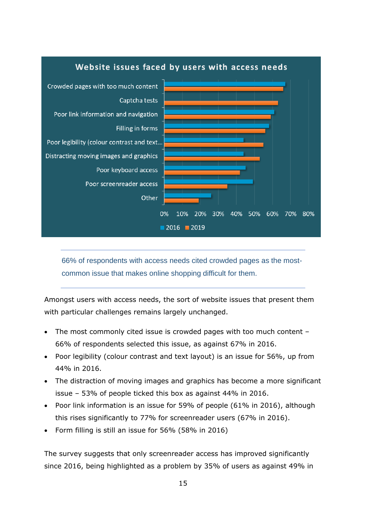

66% of respondents with access needs cited crowded pages as the mostcommon issue that makes online shopping difficult for them.

Amongst users with access needs, the sort of website issues that present them with particular challenges remains largely unchanged.

- The most commonly cited issue is crowded pages with too much content 66% of respondents selected this issue, as against 67% in 2016.
- Poor legibility (colour contrast and text layout) is an issue for 56%, up from 44% in 2016.
- The distraction of moving images and graphics has become a more significant issue – 53% of people ticked this box as against 44% in 2016.
- Poor link information is an issue for 59% of people (61% in 2016), although this rises significantly to 77% for screenreader users (67% in 2016).
- Form filling is still an issue for 56% (58% in 2016)

The survey suggests that only screenreader access has improved significantly since 2016, being highlighted as a problem by 35% of users as against 49% in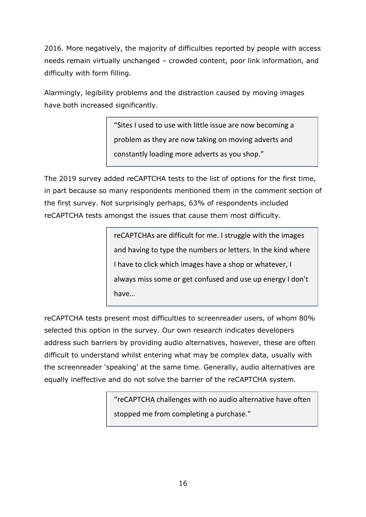2016. More negatively, the majority of difficulties reported by people with access needs remain virtually unchanged – crowded content, poor link information, and difficulty with form filling.

Alarmingly, legibility problems and the distraction caused by moving images have both increased significantly.

> "Sites I used to use with little issue are now becoming a problem as they are now taking on moving adverts and constantly loading more adverts as you shop."

The 2019 survey added reCAPTCHA tests to the list of options for the first time, in part because so many respondents mentioned them in the comment section of the first survey. Not surprisingly perhaps, 63% of respondents included reCAPTCHA tests amongst the issues that cause them most difficulty.

> reCAPTCHAs are difficult for me. I struggle with the images and having to type the numbers or letters. In the kind where I have to click which images have a shop or whatever, I always miss some or get confused and use up energy I don't have…

reCAPTCHA tests present most difficulties to screenreader users, of whom 80% selected this option in the survey. Our own research indicates developers address such barriers by providing audio alternatives, however, these are often difficult to understand whilst entering what may be complex data, usually with the screenreader 'speaking' at the same time. Generally, audio alternatives are equally ineffective and do not solve the barrier of the reCAPTCHA system.

> "reCAPTCHA challenges with no audio alternative have often stopped me from completing a purchase."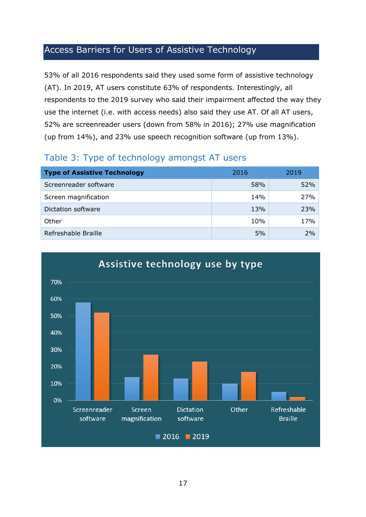# <span id="page-16-0"></span>Access Barriers for Users of Assistive Technology

53% of all 2016 respondents said they used some form of assistive technology (AT). In 2019, AT users constitute 63% of respondents. Interestingly, all respondents to the 2019 survey who said their impairment affected the way they use the internet (i.e. with access needs) also said they use AT. Of all AT users, 52% are screenreader users (down from 58% in 2016); 27% use magnification (up from 14%), and 23% use speech recognition software (up from 13%).

## Table 3: Type of technology amongst AT users

| <b>Type of Assistive Technology</b> | 2016 | 2019 |  |  |
|-------------------------------------|------|------|--|--|
| Screenreader software               | 58%  | 52%  |  |  |
| Screen magnification                | 14%  | 27%  |  |  |
| Dictation software                  | 13%  | 23%  |  |  |
| Other                               | 10%  | 17%  |  |  |
| Refreshable Braille                 | 5%   | 2%   |  |  |

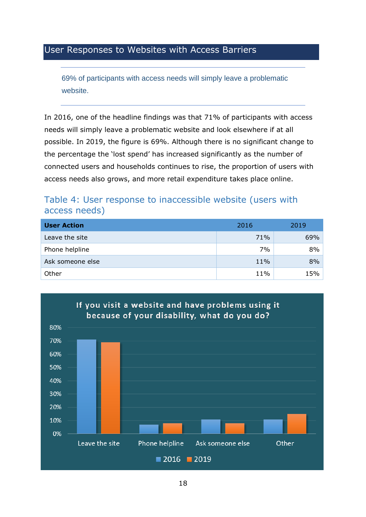## <span id="page-17-0"></span>User Responses to Websites with Access Barriers

69% of participants with access needs will simply leave a problematic website.

In 2016, one of the headline findings was that 71% of participants with access needs will simply leave a problematic website and look elsewhere if at all possible. In 2019, the figure is 69%. Although there is no significant change to the percentage the 'lost spend' has increased significantly as the number of connected users and households continues to rise, the proportion of users with access needs also grows, and more retail expenditure takes place online.

#### Table 4: User response to inaccessible website (users with access needs)

| <b>User Action</b> | 2016 | 2019 |
|--------------------|------|------|
| Leave the site     | 71%  | 69%  |
| Phone helpline     | 7%   | 8%   |
| Ask someone else   | 11%  | 8%   |
| Other              | 11%  | 15%  |

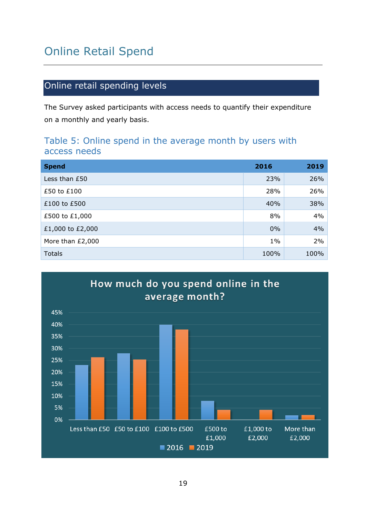# <span id="page-18-0"></span>Online Retail Spend

# <span id="page-18-1"></span>Online retail spending levels

The Survey asked participants with access needs to quantify their expenditure on a monthly and yearly basis.

#### Table 5: Online spend in the average month by users with access needs

| <b>Spend</b>     | 2016  | 2019 |
|------------------|-------|------|
| Less than £50    | 23%   | 26%  |
| £50 to £100      | 28%   | 26%  |
| £100 to £500     | 40%   | 38%  |
| £500 to £1,000   | 8%    | 4%   |
| £1,000 to £2,000 | 0%    | 4%   |
| More than £2,000 | $1\%$ | 2%   |
| <b>Totals</b>    | 100%  | 100% |

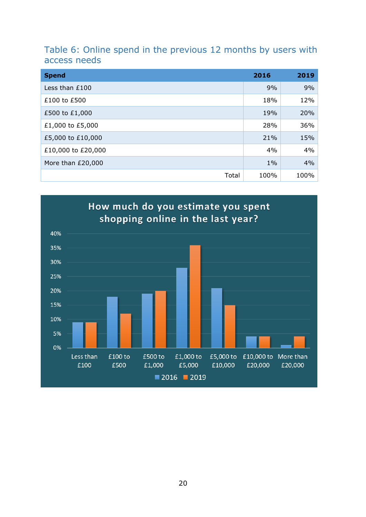## Table 6: Online spend in the previous 12 months by users with access needs

| <b>Spend</b>       | 2016  | 2019 |
|--------------------|-------|------|
| Less than £100     | 9%    | 9%   |
| £100 to £500       | 18%   | 12%  |
| £500 to £1,000     | 19%   | 20%  |
| £1,000 to £5,000   | 28%   | 36%  |
| £5,000 to £10,000  | 21%   | 15%  |
| £10,000 to £20,000 | 4%    | 4%   |
| More than £20,000  | $1\%$ | 4%   |
| Total              | 100%  | 100% |

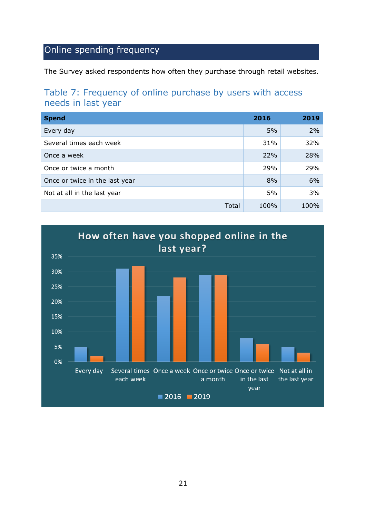# <span id="page-20-0"></span>Online spending frequency

The Survey asked respondents how often they purchase through retail websites.

## Table 7: Frequency of online purchase by users with access needs in last year

| <b>Spend</b>                   | 2016 | 2019 |
|--------------------------------|------|------|
| Every day                      | 5%   | 2%   |
| Several times each week        | 31%  | 32%  |
| Once a week                    | 22%  | 28%  |
| Once or twice a month          | 29%  | 29%  |
| Once or twice in the last year | 8%   | 6%   |
| Not at all in the last year    | 5%   | 3%   |
| Total                          | 100% | 100% |

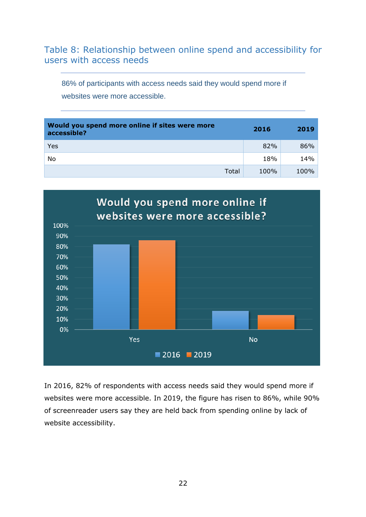## Table 8: Relationship between online spend and accessibility for users with access needs

86% of participants with access needs said they would spend more if websites were more accessible.

| Would you spend more online if sites were more<br>accessible? | 2016 | 2019   |
|---------------------------------------------------------------|------|--------|
| Yes                                                           | 82%  | $86\%$ |
| No                                                            | 18%  | 14%    |
| Total                                                         | 100% | 100%   |



In 2016, 82% of respondents with access needs said they would spend more if websites were more accessible. In 2019, the figure has risen to 86%, while 90% of screenreader users say they are held back from spending online by lack of website accessibility.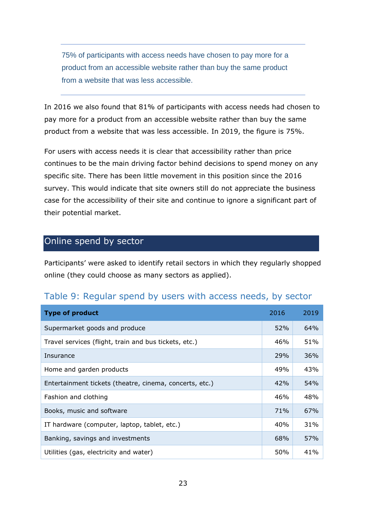75% of participants with access needs have chosen to pay more for a product from an accessible website rather than buy the same product from a website that was less accessible.

In 2016 we also found that 81% of participants with access needs had chosen to pay more for a product from an accessible website rather than buy the same product from a website that was less accessible. In 2019, the figure is 75%.

For users with access needs it is clear that accessibility rather than price continues to be the main driving factor behind decisions to spend money on any specific site. There has been little movement in this position since the 2016 survey. This would indicate that site owners still do not appreciate the business case for the accessibility of their site and continue to ignore a significant part of their potential market.

## <span id="page-22-0"></span>Online spend by sector

Participants' were asked to identify retail sectors in which they regularly shopped online (they could choose as many sectors as applied).

| Table 9: Regular spend by users with access needs, by sector |  |  |  |  |  |  |  |  |
|--------------------------------------------------------------|--|--|--|--|--|--|--|--|
|--------------------------------------------------------------|--|--|--|--|--|--|--|--|

| <b>Type of product</b>                                  | 2016 | 2019 |
|---------------------------------------------------------|------|------|
| Supermarket goods and produce                           | 52%  | 64%  |
| Travel services (flight, train and bus tickets, etc.)   | 46%  | 51%  |
| Insurance                                               | 29%  | 36%  |
| Home and garden products                                | 49%  | 43%  |
| Entertainment tickets (theatre, cinema, concerts, etc.) | 42%  | 54%  |
| Fashion and clothing                                    | 46%  | 48%  |
| Books, music and software                               | 71%  | 67%  |
| IT hardware (computer, laptop, tablet, etc.)            | 40%  | 31%  |
| Banking, savings and investments                        | 68%  | 57%  |
| Utilities (gas, electricity and water)                  | 50%  | 41%  |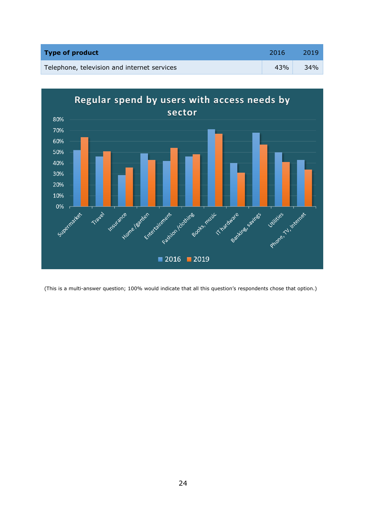| <b>Type of product</b>                      | 2016 | 2019 |
|---------------------------------------------|------|------|
| Telephone, television and internet services | 43%  | 34%  |



<span id="page-23-0"></span>(This is a multi-answer question; 100% would indicate that all this question's respondents chose that option.)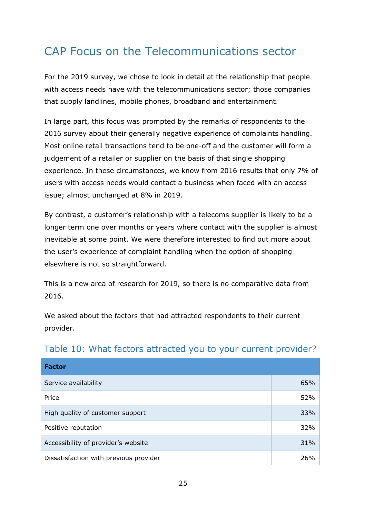# CAP Focus on the Telecommunications sector

For the 2019 survey, we chose to look in detail at the relationship that people with access needs have with the telecommunications sector; those companies that supply landlines, mobile phones, broadband and entertainment.

In large part, this focus was prompted by the remarks of respondents to the 2016 survey about their generally negative experience of complaints handling. Most online retail transactions tend to be one-off and the customer will form a judgement of a retailer or supplier on the basis of that single shopping experience. In these circumstances, we know from 2016 results that only 7% of users with access needs would contact a business when faced with an access issue; almost unchanged at 8% in 2019.

By contrast, a customer's relationship with a telecoms supplier is likely to be a longer term one over months or years where contact with the supplier is almost inevitable at some point. We were therefore interested to find out more about the user's experience of complaint handling when the option of shopping elsewhere is not so straightforward.

This is a new area of research for 2019, so there is no comparative data from 2016.

We asked about the factors that had attracted respondents to their current provider.

| <b>Factor</b>                          |     |
|----------------------------------------|-----|
| Service availability                   | 65% |
| Price                                  | 52% |
| High quality of customer support       | 33% |
| Positive reputation                    | 32% |
| Accessibility of provider's website    | 31% |
| Dissatisfaction with previous provider | 26% |

# Table 10: What factors attracted you to your current provider?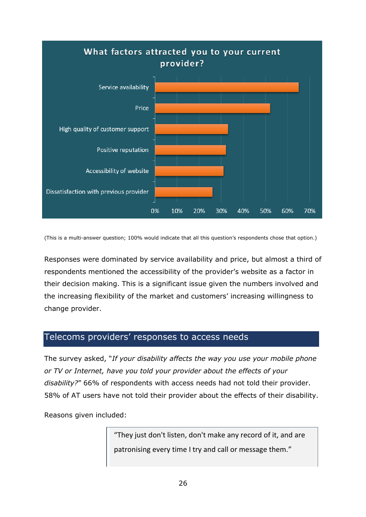

(This is a multi-answer question; 100% would indicate that all this question's respondents chose that option.)

Responses were dominated by service availability and price, but almost a third of respondents mentioned the accessibility of the provider's website as a factor in their decision making. This is a significant issue given the numbers involved and the increasing flexibility of the market and customers' increasing willingness to change provider.

#### <span id="page-25-0"></span>Telecoms providers' responses to access needs

The survey asked, "*If your disability affects the way you use your mobile phone or TV or Internet, have you told your provider about the effects of your disability?*" 66% of respondents with access needs had not told their provider. 58% of AT users have not told their provider about the effects of their disability.

Reasons given included:

"They just don't listen, don't make any record of it, and are patronising every time I try and call or message them."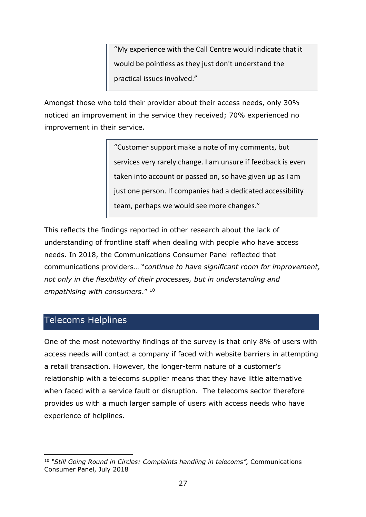"My experience with the Call Centre would indicate that it would be pointless as they just don't understand the practical issues involved."

Amongst those who told their provider about their access needs, only 30% noticed an improvement in the service they received; 70% experienced no improvement in their service.

> "Customer support make a note of my comments, but services very rarely change. I am unsure if feedback is even taken into account or passed on, so have given up as I am just one person. If companies had a dedicated accessibility team, perhaps we would see more changes."

This reflects the findings reported in other research about the lack of understanding of frontline staff when dealing with people who have access needs. In 2018, the Communications Consumer Panel reflected that communications providers… "*continue to have significant room for improvement, not only in the flexibility of their processes, but in understanding and empathising with consumers*." <sup>10</sup>

## <span id="page-26-0"></span>Telecoms Helplines

One of the most noteworthy findings of the survey is that only 8% of users with access needs will contact a company if faced with website barriers in attempting a retail transaction. However, the longer-term nature of a customer's relationship with a telecoms supplier means that they have little alternative when faced with a service fault or disruption. The telecoms sector therefore provides us with a much larger sample of users with access needs who have experience of helplines.

<sup>10</sup> *"Still Going Round in Circles: Complaints handling in telecoms",* Communications Consumer Panel, July 2018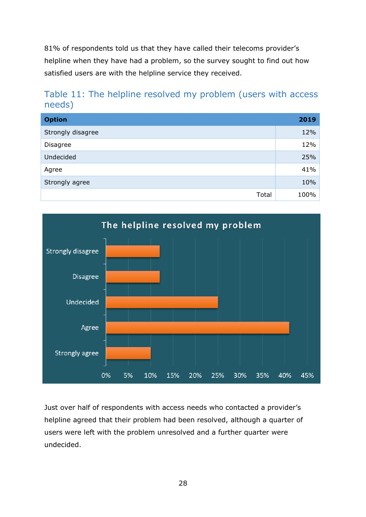81% of respondents told us that they have called their telecoms provider's helpline when they have had a problem, so the survey sought to find out how satisfied users are with the helpline service they received.

# Table 11: The helpline resolved my problem (users with access needs)

| <b>Option</b>     | 2019 |
|-------------------|------|
| Strongly disagree | 12%  |
| <b>Disagree</b>   | 12%  |
| Undecided         | 25%  |
| Agree             | 41%  |
| Strongly agree    | 10%  |
| Total             | 100% |



Just over half of respondents with access needs who contacted a provider's helpline agreed that their problem had been resolved, although a quarter of users were left with the problem unresolved and a further quarter were undecided.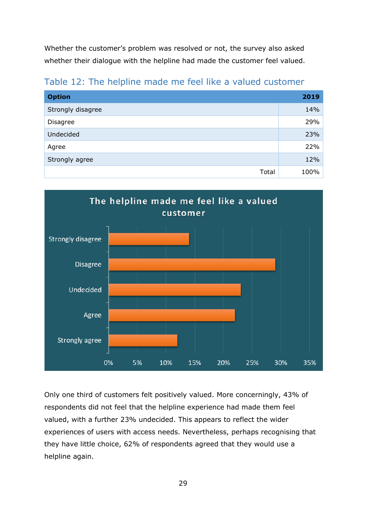Whether the customer's problem was resolved or not, the survey also asked whether their dialogue with the helpline had made the customer feel valued.

Table 12: The helpline made me feel like a valued customer

| <b>Option</b>     | 2019 |
|-------------------|------|
| Strongly disagree | 14%  |
| Disagree          | 29%  |
| Undecided         | 23%  |
| Agree             | 22%  |
| Strongly agree    | 12%  |
| Total             | 100% |



Only one third of customers felt positively valued. More concerningly, 43% of respondents did not feel that the helpline experience had made them feel valued, with a further 23% undecided. This appears to reflect the wider experiences of users with access needs. Nevertheless, perhaps recognising that they have little choice, 62% of respondents agreed that they would use a helpline again.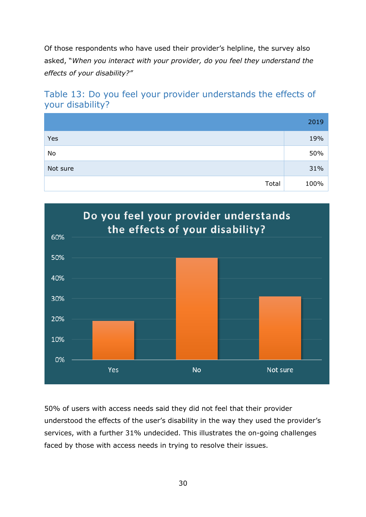Of those respondents who have used their provider's helpline, the survey also asked, "*When you interact with your provider, do you feel they understand the effects of your disability?"*

# Table 13: Do you feel your provider understands the effects of your disability?

|          | 2019 |
|----------|------|
| Yes      | 19%  |
| No       | 50%  |
| Not sure | 31%  |
| Total    | 100% |



50% of users with access needs said they did not feel that their provider understood the effects of the user's disability in the way they used the provider's services, with a further 31% undecided. This illustrates the on-going challenges faced by those with access needs in trying to resolve their issues.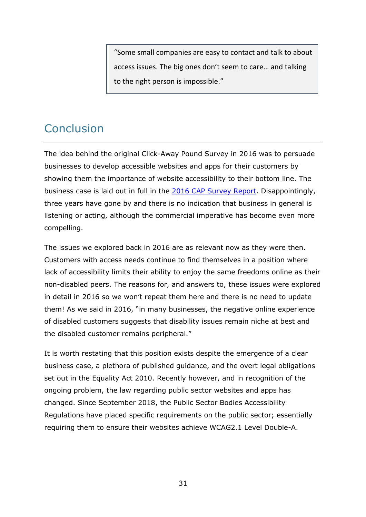"Some small companies are easy to contact and talk to about access issues. The big ones don't seem to care… and talking to the right person is impossible."

# <span id="page-30-0"></span>**Conclusion**

The idea behind the original Click-Away Pound Survey in 2016 was to persuade businesses to develop accessible websites and apps for their customers by showing them the importance of website accessibility to their bottom line. The business case is laid out in full in the [2016 CAP Survey Report.](http://clickawaypound.com/cap16finalreport.html) Disappointingly, three years have gone by and there is no indication that business in general is listening or acting, although the commercial imperative has become even more compelling.

The issues we explored back in 2016 are as relevant now as they were then. Customers with access needs continue to find themselves in a position where lack of accessibility limits their ability to enjoy the same freedoms online as their non-disabled peers. The reasons for, and answers to, these issues were explored in detail in 2016 so we won't repeat them here and there is no need to update them! As we said in 2016, "in many businesses, the negative online experience of disabled customers suggests that disability issues remain niche at best and the disabled customer remains peripheral."

It is worth restating that this position exists despite the emergence of a clear business case, a plethora of published guidance, and the overt legal obligations set out in the Equality Act 2010. Recently however, and in recognition of the ongoing problem, the law regarding public sector websites and apps has changed. Since September 2018, the Public Sector Bodies Accessibility Regulations have placed specific requirements on the public sector; essentially requiring them to ensure their websites achieve WCAG2.1 Level Double-A.

31